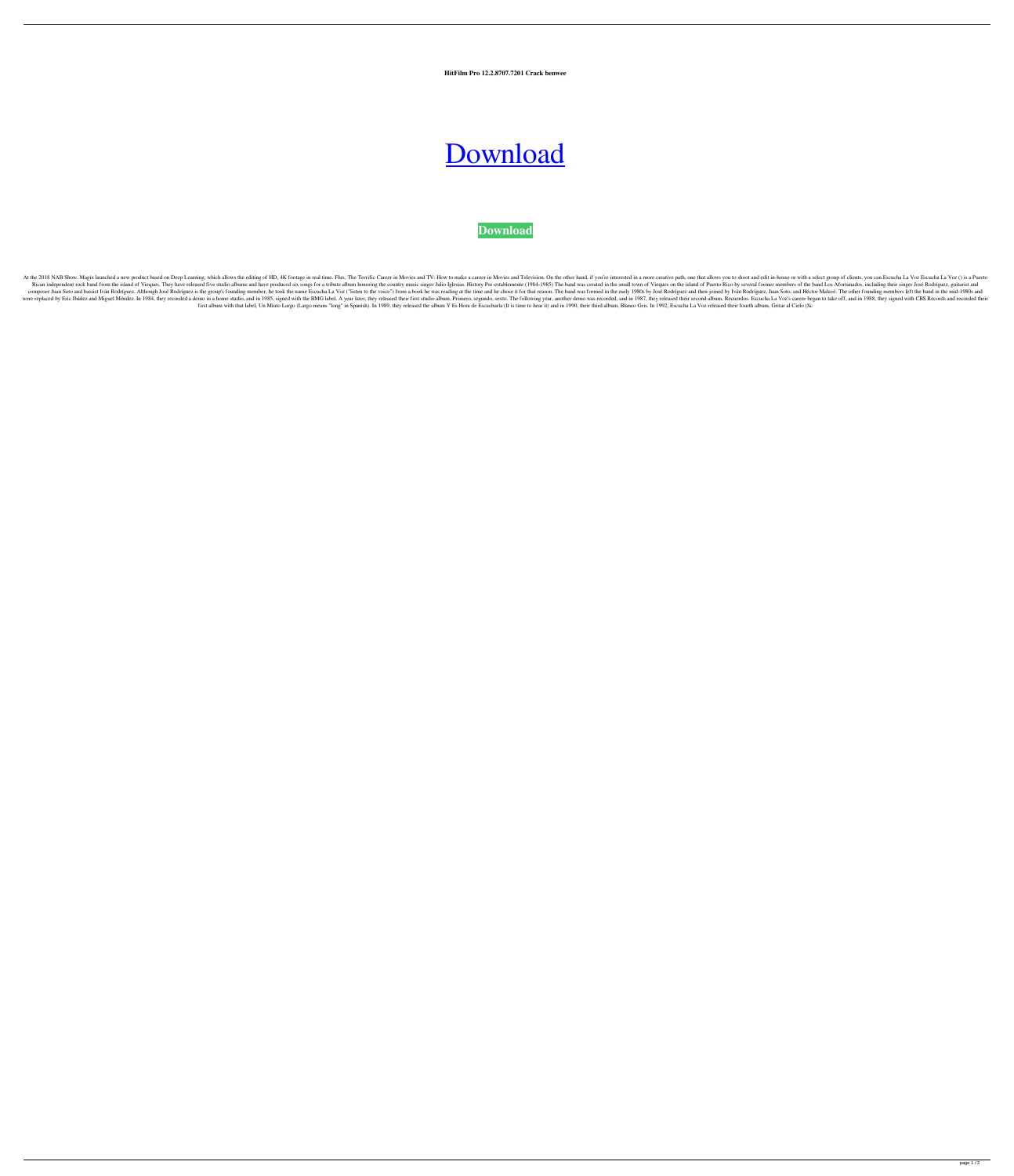**HitFilm Pro 12.2.8707.7201 Crack benwee**

## [Download](http://evacdir.com/auctions?SGl0RmlsbSBQcm8gMTIuMi44NzA3LjcyMDEgQ3JhY2sSGl=&ZG93bmxvYWR8ZFc4TVhKdlpIeDhNVFkxTWpRMk16QTFNSHg4TWpVM05IeDhLRTBwSUhKbFlXUXRZbXh2WnlCYlJtRnpkQ0JIUlU1ZA=caches.comfortabiltiy&enforcement=idriveads&route=morath)

**[Download](http://evacdir.com/auctions?SGl0RmlsbSBQcm8gMTIuMi44NzA3LjcyMDEgQ3JhY2sSGl=&ZG93bmxvYWR8ZFc4TVhKdlpIeDhNVFkxTWpRMk16QTFNSHg4TWpVM05IeDhLRTBwSUhKbFlXUXRZbXh2WnlCYlJtRnpkQ0JIUlU1ZA=caches.comfortabiltiy&enforcement=idriveads&route=morath)**

At the 2018 NAB Show, Magix launched a new product based on Deep Learning, which allows the editing of HD, 4K footage in real time. Flux, The Terrific Career in Movies and TV: How to make a career in Movies and Television. Rican independent rock band from the island of Vieques. They have released five studio albums and have produced six songs for a tribute album honoring the country music singer Julio Iglesias. History Pre-establemente (1984 composer Juan Soto and bassist Iván Rodríguez. Although José Rodríguez is the group's founding member, he took the name Escucha La Voz ("listen to the voice") from a book he was reading at the time and he chose it for that were replaced by Eric Ibáñez and Miguel Méndez. In 1984, they recorded a demo in a home studio, and in 1985, signed with the BMG label. A year later, they released their first studio album, Primero, segundo, sexto. The fol first album with that label, Un Miuto Largo (Largo means "long" in Spanish). In 1989, they released the album Y Es Hora de Escucharla (It is time to hear it) and in 1990, their third album, Blanco Gris. In 1992, Escucha La